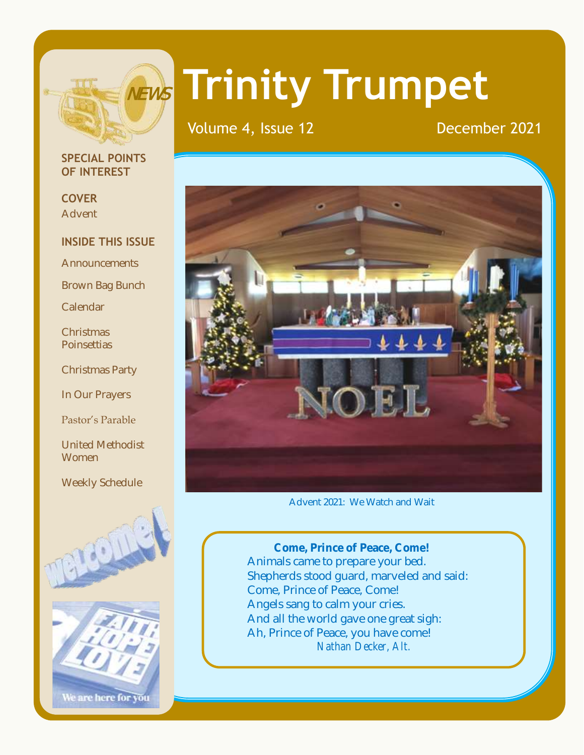

# **Trinity Trumpet**

Volume 4, Issue 12 December 2021

#### **SPECIAL POINTS OF INTEREST**

**COVER** Advent

#### **INSIDE THIS ISSUE**

**Announcements** 

Brown Bag Bunch

Calendar

Christmas **Poinsettias** 

Christmas Party

In Our Prayers

Pastor's Parable

United Methodist Women

Weekly Schedule





Advent 2021: We Watch and Wait

**Come, Prince of Peace, Come!** Animals came to prepare your bed. Shepherds stood guard, marveled and said: Come, Prince of Peace, Come! Angels sang to calm your cries. And all the world gave one great sigh: Ah, Prince of Peace, you have come! *Nathan Decker, Alt.*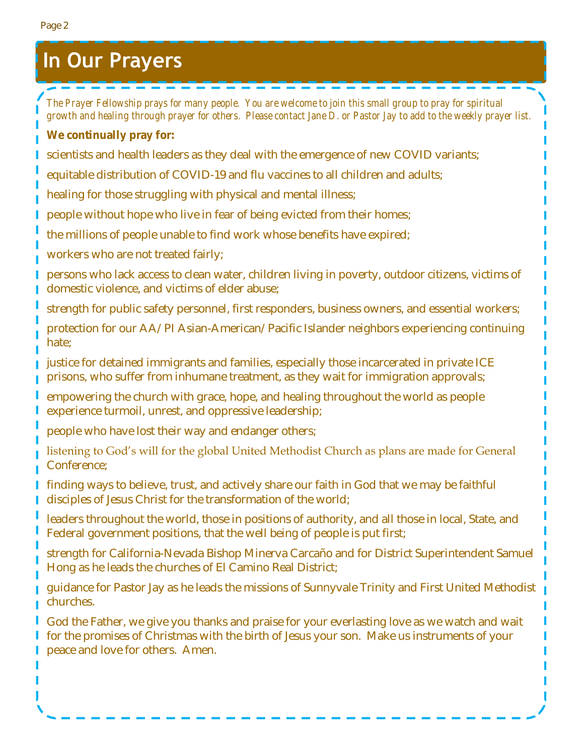## **In Our Prayers**

- *The Prayer Fellowship prays for many people. You are welcome to join this small group to pray for spiritual growth and healing through prayer for others. Please contact Jane D. or Pastor Jay to add to the weekly prayer list.*
- **We continually pray for:**
- scientists and health leaders as they deal with the emergence of new COVID variants;
- equitable distribution of COVID-19 and flu vaccines to all children and adults;
- healing for those struggling with physical and mental illness;
- people without hope who live in fear of being evicted from their homes;
- the millions of people unable to find work whose benefits have expired;
- workers who are not treated fairly;
- persons who lack access to clean water, children living in poverty, outdoor citizens, victims of domestic violence, and victims of elder abuse;
- strength for public safety personnel, first responders, business owners, and essential workers;
- protection for our AA/PI Asian-American/Pacific Islander neighbors experiencing continuing hate;
- justice for detained immigrants and families, especially those incarcerated in private ICE prisons, who suffer from inhumane treatment, as they wait for immigration approvals;
- empowering the church with grace, hope, and healing throughout the world as people experience turmoil, unrest, and oppressive leadership;
- people who have lost their way and endanger others;
- listening to God's will for the global United Methodist Church as plans are made for General Conference;
- finding ways to believe, trust, and actively share our faith in God that we may be faithful disciples of Jesus Christ for the transformation of the world;
- leaders throughout the world, those in positions of authority, and all those in local, State, and Federal government positions, that the well being of people is put first;
- strength for California-Nevada Bishop Minerva Carcaño and for District Superintendent Samuel Hong as he leads the churches of El Camino Real District;
- guidance for Pastor Jay as he leads the missions of Sunnyvale Trinity and First United Methodist churches.
- God the Father, we give you thanks and praise for your everlasting love as we watch and wait for the promises of Christmas with the birth of Jesus your son. Make us instruments of your peace and love for others. Amen.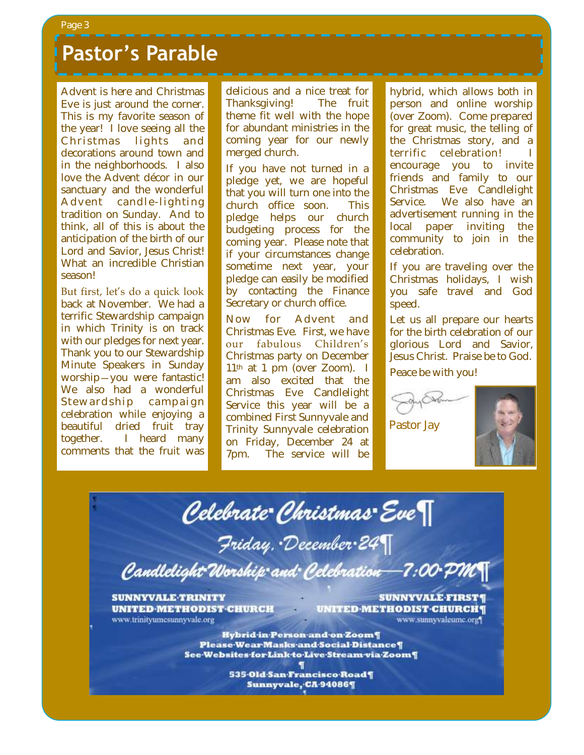### **Pastor's Parable**

Advent is here and Christmas Eve is just around the corner. This is my favorite season of the year! I love seeing all the Christmas lights and decorations around town and in the neighborhoods. I also love the Advent décor in our sanctuary and the wonderful Advent candle-lighting tradition on Sunday. And to think, all of this is about the anticipation of the birth of our Lord and Savior, Jesus Christ! What an incredible Christian season!

But first, let's do a quick look back at November. We had a terrific Stewardship campaign in which Trinity is on track with our pledges for next year. Thank you to our Stewardship Minute Speakers in Sunday worship—you were fantastic! We also had a wonderful Stewardship campaign celebration while enjoying a beautiful dried fruit tray together. I heard many comments that the fruit was

delicious and a nice treat for Thanksgiving! The fruit theme fit well with the hope for abundant ministries in the coming year for our newly merged church.

If you have not turned in a pledge yet, we are hopeful that you will turn one into the church office soon. This pledge helps our church budgeting process for the coming year. Please note that if your circumstances change sometime next year, your pledge can easily be modified by contacting the Finance Secretary or church office.

Now for Advent and Christmas Eve. First, we have our fabulous Children's Christmas party on December 11th at 1 pm (over Zoom). I am also excited that the Christmas Eve Candlelight Service this year will be a combined First Sunnyvale and Trinity Sunnyvale celebration on Friday, December 24 at 7pm. The service will be

hybrid, which allows both in person and online worship (over Zoom). Come prepared for great music, the telling of the Christmas story, and a terrific celebration! I encourage you to invite friends and family to our Christmas Eve Candlelight Service. We also have an advertisement running in the local paper inviting the community to join in the celebration.

If you are traveling over the Christmas holidays, I wish you safe travel and God speed.

Let us all prepare our hearts for the birth celebration of our glorious Lord and Savior, Jesus Christ. Praise be to God.

Peace be with you!





Celebrate Christmas Eve¶<br>Friday, December 24¶ Candlelight Worship and Celebration -7:00 PM **SUNNYVALE-TRINITY SUNNYVALE-FIRST¶** UNITED METHODIST CHURCH UNITED METHODIST CHURCH¶ www.trinityumcsunnyvale.org www.sunnyvaleume.org **Hybrid** in Person and on Zoom | Please-Wear-Masks-and-Social-Distance¶ See Websites for Link to Live Stream via Zoom¶ 535-Old-San-Francisco-Road¶ Sunnyvale, CA-94086¶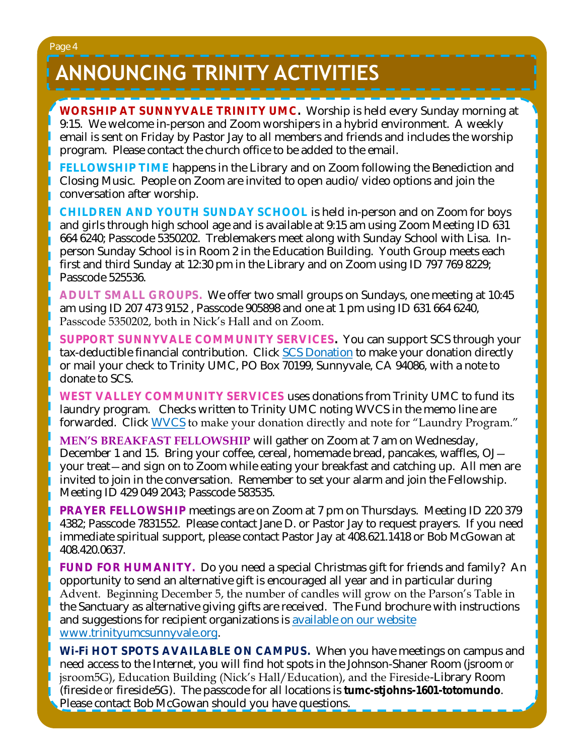Page 4

# **ANNOUNCING TRINITY ACTIVITIES**

**WORSHIP AT SUNNYVALE TRINITY UMC.** Worship is held every Sunday morning at 9:15. We welcome in-person and Zoom worshipers in a hybrid environment. A weekly email is sent on Friday by Pastor Jay to all members and friends and includes the worship program. Please contact the church office to be added to the email.

**FELLOWSHIP TIME** happens in the Library and on Zoom following the Benediction and Closing Music. People on Zoom are invited to open audio/video options and join the conversation after worship.

**CHILDREN AND YOUTH SUNDAY SCHOOL** is held in-person and on Zoom for boys and girls through high school age and is available at 9:15 am using Zoom Meeting ID 631 664 6240; Passcode 5350202. Treblemakers meet along with Sunday School with Lisa. Inperson Sunday School is in Room 2 in the Education Building. Youth Group meets each first and third Sunday at 12:30 pm in the Library and on Zoom using ID 797 769 8229; Passcode 525536.

**ADULT SMALL GROUPS.** We offer two small groups on Sundays, one meeting at 10:45 am using ID 207 473 9152 , Passcode 905898 and one at 1 pm using ID 631 664 6240, Passcode 5350202, both in Nick's Hall and on Zoom.

**SUPPORT SUNNYVALE COMMUNITY SERVICES.** You can support SCS through your tax-deductible financial contribution. Click [SCS Donation](https://svcommunityservices.org/donate-online/) to make your donation directly or mail your check to Trinity UMC, PO Box 70199, Sunnyvale, CA 94086, with a note to donate to SCS.

**WEST VALLEY COMMUNITY SERVICES** uses donations from Trinity UMC to fund its laundry program. Checks written to Trinity UMC noting WVCS in the memo line are forwarded. Click [WVCS](https://www.wvcommunityservices.org/donate-now-covid19) to make your donation directly and note for "Laundry Program."

**MEN'S BREAKFAST FELLOWSHIP** will gather on Zoom at 7 am on Wednesday, December 1 and 15. Bring your coffee, cereal, homemade bread, pancakes, waffles, OJ your treat—and sign on to Zoom while eating your breakfast and catching up. All men are invited to join in the conversation. Remember to set your alarm and join the Fellowship. Meeting ID 429 049 2043; Passcode 583535.

**PRAYER FELLOWSHIP** meetings are on Zoom at 7 pm on Thursdays. Meeting ID 220 379 4382; Passcode 7831552. Please contact Jane D. or Pastor Jay to request prayers. If you need immediate spiritual support, please contact Pastor Jay at 408.621.1418 or Bob McGowan at 408.420.0637.

**FUND FOR HUMANITY.** Do you need a special Christmas gift for friends and family? An opportunity to send an alternative gift is encouraged all year and in particular during Advent. Beginning December 5, the number of candles will grow on the Parson's Table in the Sanctuary as alternative giving gifts are received. The Fund brochure with instructions and suggestions for recipient organizations is [available on our website](http://www.trinityumcsunnyvale.org/docs/Images/2020%20Web%20Fund%20for%20Humanity.pdf) [www.trinityumcsunnyvale.org.](http://www.trinityumcsunnyvale.org)

**Wi-Fi HOT SPOTS AVAILABLE ON CAMPUS.** When you have meetings on campus and need access to the Internet, you will find hot spots in the Johnson-Shaner Room (jsroom *or* jsroom5G), Education Building (Nick's Hall/Education), and the Fireside-Library Room (fireside *or* fireside5G). The passcode for all locations is **tumc-stjohns-1601-totomundo**. Please contact Bob McGowan should you have questions.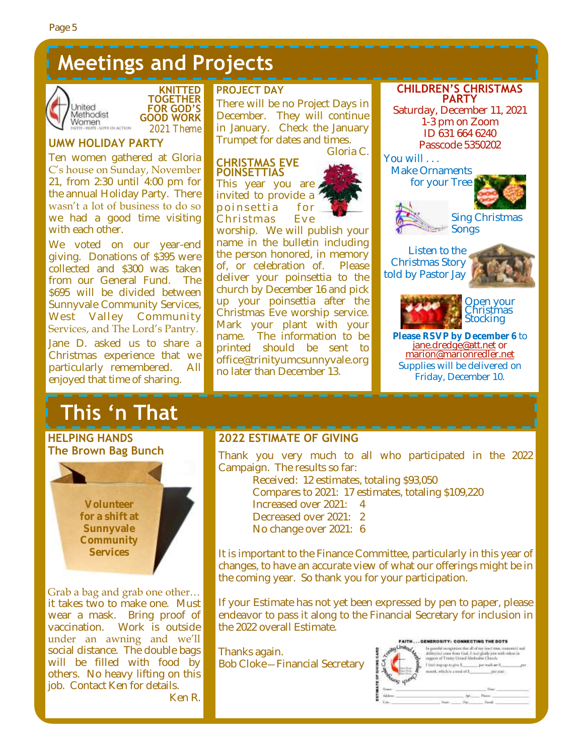# **Meetings and Projects**



**KNITTED TOGETHER FOR GOD'S GOOD WORK**

*2021 Theme*

#### VE DE ACTION **UMW HOLIDAY PARTY**

Ten women gathered at Gloria C's house on Sunday, November 21, from 2:30 until 4:00 pm for the annual Holiday Party. There wasn't a lot of business to do so we had a good time visiting with each other.

We voted on our year-end giving. Donations of \$395 were collected and \$300 was taken from our General Fund. The \$695 will be divided between Sunnyvale Community Services, West Valley Community Services, and The Lord's Pantry. Jane D. asked us to share a Christmas experience that we particularly remembered. All enjoyed that time of sharing.

# **This 'n That**

#### **HELPING HANDS The Brown Bag Bunch**

Grab a bag and grab one other… it takes two to make one. Must wear a mask. Bring proof of vaccination. Work is outside **Volunteer for a shift at Sunnyvale Community Services** 

under an awning and we'll social distance. The double bags will be filled with food by others. No heavy lifting on this job. Contact Ken for details.

Ken R.

#### **PROJECT DAY**

There will be no Project Days in December. They will continue in January. Check the January Trumpet for dates and times. Gloria C.

#### **CHRISTMAS EVE POINSETTIAS**

This year you are invited to provide a poinsettia for Christmas Eve

worship. We will publish your name in the bulletin including the person honored, in memory of, or celebration of. Please deliver your poinsettia to the church by December 16 and pick up your poinsettia after the Christmas Eve worship service. Mark your plant with your name. The information to be printed should be sent to office@trinityumcsunnyvale.org no later than December 13.

#### **CHILDREN'S CHRISTMAS PARTY**

Saturday, December 11, 2021 1-3 pm on Zoom ID 631 664 6240 Passcode 5350202

You will . . . Make Ornaments for your Tree



Sing Christmas

Listen to the Christmas Story told by Pastor Jay





Open your Christmas **Stocking** 

**Please RSVP by December 6** to [jane.dredge@att.net](mailto:jane.dredge@att.net) or [marion@marionredler.net](mailto:marion@marionredler.net) Supplies will be delivered on Friday, December 10.

#### **2022 ESTIMATE OF GIVING**

Thank you very much to all who participated in the 2022 Campaign. The results so far:

Received: 12 estimates, totaling \$93,050

- Compares to 2021: 17 estimates, totaling \$109,220
- Increased over 2021: 4
- Decreased over 2021: 2
- No change over 2021: 6

It is important to the Finance Committee, particularly in this year of changes, to have an accurate view of what our offerings might be in the coming year. So thank you for your participation.

If your Estimate has not yet been expressed by pen to paper, please endeavor to pass it along to the Financial Secretary for inclusion in the 2022 overall Estimate.

| Thanks again. |                                      |
|---------------|--------------------------------------|
|               | <b>Bob Cloke-Financial Secretary</b> |

| $ln2$ . |                                                                                | be parallel recognition that all of my /excl time, traintent<br>hilitosiyd come Aren Gial, I riest gladb join with releas in<br>inggeet of Typics United Merbedie Charch- |  |  |
|---------|--------------------------------------------------------------------------------|---------------------------------------------------------------------------------------------------------------------------------------------------------------------------|--|--|
|         | Only implies needing &                                                         |                                                                                                                                                                           |  |  |
|         | suuch, which is a singled 2<br>in the state of the control of the state of the |                                                                                                                                                                           |  |  |
|         |                                                                                |                                                                                                                                                                           |  |  |
|         |                                                                                |                                                                                                                                                                           |  |  |
|         |                                                                                |                                                                                                                                                                           |  |  |